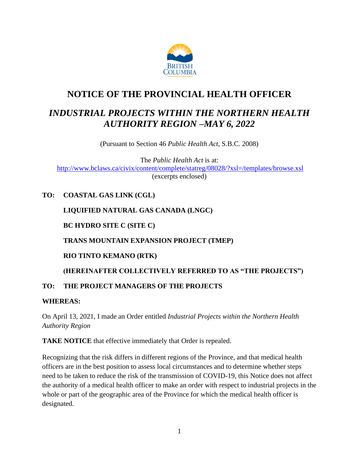

# **NOTICE OF THE PROVINCIAL HEALTH OFFICER**

# *INDUSTRIAL PROJECTS WITHIN THE NORTHERN HEALTH AUTHORITY REGION –MAY 6, 2022*

(Pursuant to Section 46 *Public Health Act*, S.B.C. 2008)

The *Public Health Act* is at: <http://www.bclaws.ca/civix/content/complete/statreg/08028/?xsl=/templates/browse.xsl> (excerpts enclosed)

# **TO: COASTAL GAS LINK (CGL)**

## **LIQUIFIED NATURAL GAS CANADA (LNGC)**

**BC HYDRO SITE C (SITE C)**

### **TRANS MOUNTAIN EXPANSION PROJECT (TMEP)**

### **RIO TINTO KEMANO (RTK)**

# **(HEREINAFTER COLLECTIVELY REFERRED TO AS "THE PROJECTS")**

### **TO: THE PROJECT MANAGERS OF THE PROJECTS**

### **WHEREAS:**

On April 13, 2021, I made an Order entitled *Industrial Projects within the Northern Health Authority Region*

**TAKE NOTICE** that effective immediately that Order is repealed.

Recognizing that the risk differs in different regions of the Province, and that medical health officers are in the best position to assess local circumstances and to determine whether steps need to be taken to reduce the risk of the transmission of COVID-19, this Notice does not affect the authority of a medical health officer to make an order with respect to industrial projects in the whole or part of the geographic area of the Province for which the medical health officer is designated.